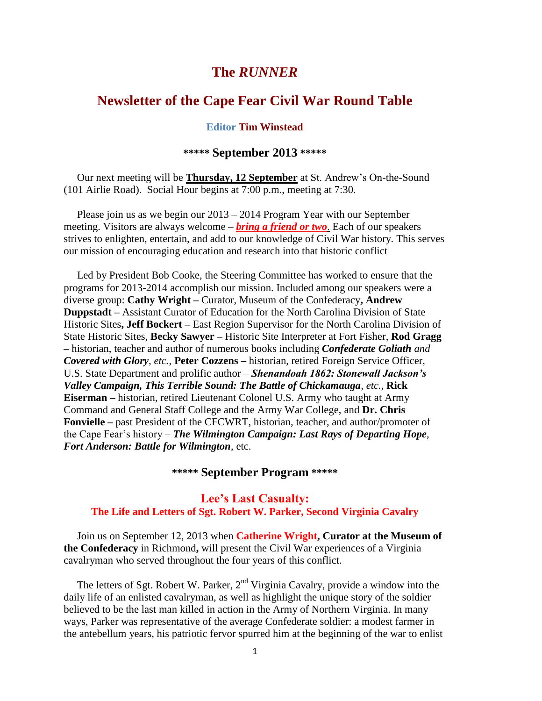## **The** *RUNNER*

# **Newsletter of the Cape Fear Civil War Round Table**

#### **Editor Tim Winstead**

### **\*\*\*\*\* September 2013 \*\*\*\*\***

 Our next meeting will be **Thursday, 12 September** at St. Andrew's On-the-Sound (101 Airlie Road). Social Hour begins at 7:00 p.m., meeting at 7:30.

Please join us as we begin our 2013 – 2014 Program Year with our September meeting. Visitors are always welcome – *bring a friend or two*. Each of our speakers strives to enlighten, entertain, and add to our knowledge of Civil War history. This serves our mission of encouraging education and research into that historic conflict

 Led by President Bob Cooke, the Steering Committee has worked to ensure that the programs for 2013-2014 accomplish our mission. Included among our speakers were a diverse group: **Cathy Wright –** Curator, Museum of the Confederacy**, Andrew Duppstadt –** Assistant Curator of Education for the North Carolina Division of State Historic Sites**, Jeff Bockert –** East Region Supervisor for the North Carolina Division of State Historic Sites, **Becky Sawyer –** Historic Site Interpreter at Fort Fisher, **Rod Gragg –** historian, teacher and author of numerous books including *Confederate Goliath and Covered with Glory, etc.,* **Peter Cozzens –** historian, retired Foreign Service Officer, U.S. State Department and prolific author – *Shenandoah 1862: Stonewall Jackson's Valley Campaign, This Terrible Sound: The Battle of Chickamauga, etc.,* **Rick Eiserman –** historian, retired Lieutenant Colonel U.S. Army who taught at Army Command and General Staff College and the Army War College, and **Dr. Chris Fonvielle –** past President of the CFCWRT, historian, teacher, and author/promoter of the Cape Fear's history – *The Wilmington Campaign: Last Rays of Departing Hope*, *Fort Anderson: Battle for Wilmington*, etc.

### **\*\*\*\*\* September Program \*\*\*\*\***

### **Lee's Last Casualty: The Life and Letters of Sgt. Robert W. Parker, Second Virginia Cavalry**

 Join us on September 12, 2013 when **Catherine Wright, Curator at the Museum of the Confederacy** in Richmond**,** will present the Civil War experiences of a Virginia cavalryman who served throughout the four years of this conflict.

The letters of Sgt. Robert W. Parker, 2<sup>nd</sup> Virginia Cavalry, provide a window into the daily life of an enlisted cavalryman, as well as highlight the unique story of the soldier believed to be the last man killed in action in the Army of Northern Virginia. In many ways, Parker was representative of the average Confederate soldier: a modest farmer in the antebellum years, his patriotic fervor spurred him at the beginning of the war to enlist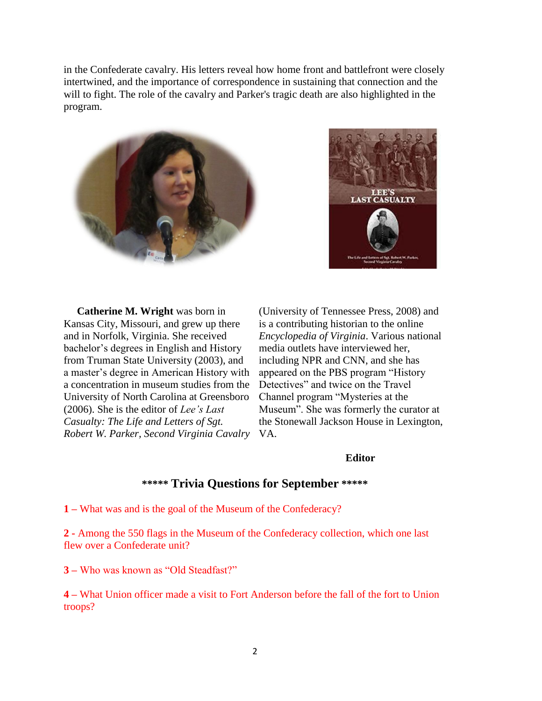in the Confederate cavalry. His letters reveal how home front and battlefront were closely intertwined, and the importance of correspondence in sustaining that connection and the will to fight. The role of the cavalry and Parker's tragic death are also highlighted in the program.





 **Catherine M. Wright** was born in Kansas City, Missouri, and grew up there and in Norfolk, Virginia. She received bachelor's degrees in English and History from Truman State University (2003), and a master's degree in American History with a concentration in museum studies from the University of North Carolina at Greensboro (2006). She is the editor of *Lee's Last Casualty: The Life and Letters of Sgt. Robert W. Parker, Second Virginia Cavalry*  VA.

(University of Tennessee Press, 2008) and is a contributing historian to the online *Encyclopedia of Virginia*. Various national media outlets have interviewed her, including NPR and CNN, and she has appeared on the PBS program "History Detectives" and twice on the Travel Channel program "Mysteries at the Museum". She was formerly the curator at the Stonewall Jackson House in Lexington,

#### **Editor**

### **\*\*\*\*\* Trivia Questions for September \*\*\*\*\***

**1 –** What was and is the goal of the Museum of the Confederacy?

**2 -** Among the 550 flags in the Museum of the Confederacy collection, which one last flew over a Confederate unit?

**3 –** Who was known as "Old Steadfast?"

**4 –** What Union officer made a visit to Fort Anderson before the fall of the fort to Union troops?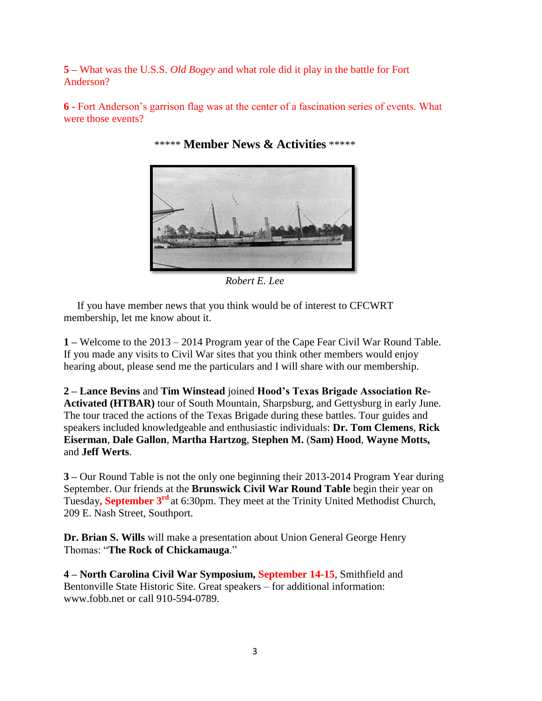**5 –** What was the U.S.S. *Old Bogey* and what role did it play in the battle for Fort Anderson?

**6 -** Fort Anderson's garrison flag was at the center of a fascination series of events. What were those events?



\*\*\*\*\* **Member News & Activities** \*\*\*\*\*

*Robert E. Lee*

 If you have member news that you think would be of interest to CFCWRT membership, let me know about it.

**1 –** Welcome to the 2013 – 2014 Program year of the Cape Fear Civil War Round Table. If you made any visits to Civil War sites that you think other members would enjoy hearing about, please send me the particulars and I will share with our membership.

**2 – Lance Bevins** and **Tim Winstead** joined **Hood's Texas Brigade Association Re-Activated (HTBAR)** tour of South Mountain, Sharpsburg, and Gettysburg in early June. The tour traced the actions of the Texas Brigade during these battles. Tour guides and speakers included knowledgeable and enthusiastic individuals: **Dr. Tom Clemens**, **Rick Eiserman**, **Dale Gallon**, **Martha Hartzog**, **Stephen M.** (**Sam) Hood**, **Wayne Motts,**  and **Jeff Werts**.

**3 –** Our Round Table is not the only one beginning their 2013-2014 Program Year during September. Our friends at the **Brunswick Civil War Round Table** begin their year on Tuesday**, September 3rd** at 6:30pm. They meet at the Trinity United Methodist Church, 209 E. Nash Street, Southport.

**Dr. Brian S. Wills** will make a presentation about Union General George Henry Thomas: "**The Rock of Chickamauga**."

**4 – North Carolina Civil War Symposium, September 14-15**, Smithfield and Bentonville State Historic Site. Great speakers – for additional information: www.fobb.net or call 910-594-0789.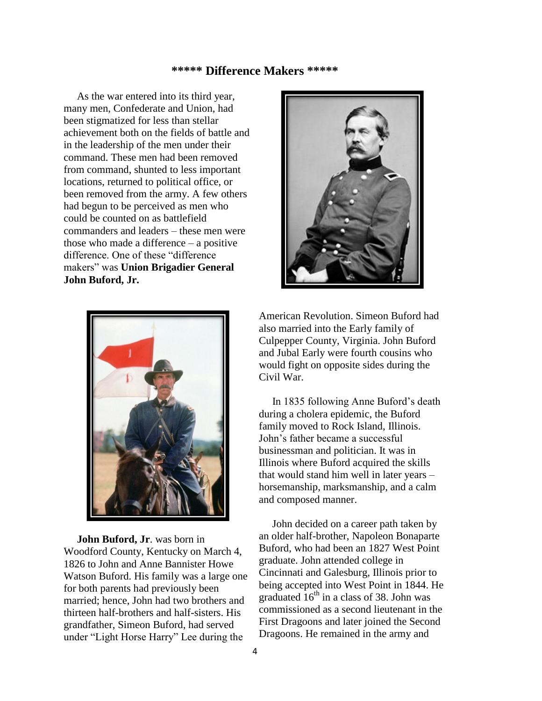#### **\*\*\*\*\* Difference Makers \*\*\*\*\***

 As the war entered into its third year, many men, Confederate and Union, had been stigmatized for less than stellar achievement both on the fields of battle and in the leadership of the men under their command. These men had been removed from command, shunted to less important locations, returned to political office, or been removed from the army. A few others had begun to be perceived as men who could be counted on as battlefield commanders and leaders – these men were those who made a difference – a positive difference. One of these "difference makers" was **Union Brigadier General John Buford, Jr.**



 **John Buford, Jr**. was born in Woodford County, Kentucky on March 4, 1826 to John and Anne Bannister Howe Watson Buford. His family was a large one for both parents had previously been married; hence, John had two brothers and thirteen half-brothers and half-sisters. His grandfather, Simeon Buford, had served under "Light Horse Harry" Lee during the



American Revolution. Simeon Buford had also married into the Early family of Culpepper County, Virginia. John Buford and Jubal Early were fourth cousins who would fight on opposite sides during the Civil War.

 In 1835 following Anne Buford's death during a cholera epidemic, the Buford family moved to Rock Island, Illinois. John's father became a successful businessman and politician. It was in Illinois where Buford acquired the skills that would stand him well in later years – horsemanship, marksmanship, and a calm and composed manner.

 John decided on a career path taken by an older half-brother, Napoleon Bonaparte Buford, who had been an 1827 West Point graduate. John attended college in Cincinnati and Galesburg, Illinois prior to being accepted into West Point in 1844. He graduated  $16^{th}$  in a class of 38. John was commissioned as a second lieutenant in the First Dragoons and later joined the Second Dragoons. He remained in the army and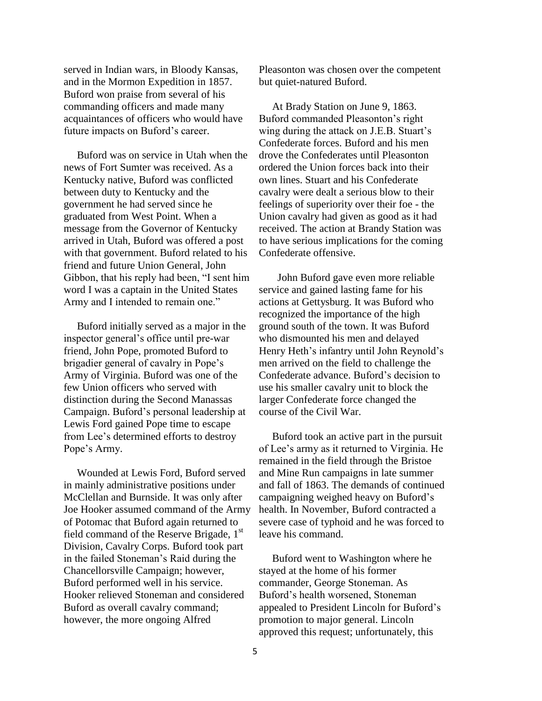served in Indian wars, in Bloody Kansas, and in the Mormon Expedition in 1857. Buford won praise from several of his commanding officers and made many acquaintances of officers who would have future impacts on Buford's career.

 Buford was on service in Utah when the news of Fort Sumter was received. As a Kentucky native, Buford was conflicted between duty to Kentucky and the government he had served since he graduated from West Point. When a message from the Governor of Kentucky arrived in Utah, Buford was offered a post with that government. Buford related to his friend and future Union General, John Gibbon, that his reply had been, "I sent him word I was a captain in the United States Army and I intended to remain one."

 Buford initially served as a major in the inspector general's office until pre-war friend, John Pope, promoted Buford to brigadier general of cavalry in Pope's Army of Virginia. Buford was one of the few Union officers who served with distinction during the Second Manassas Campaign. Buford's personal leadership at Lewis Ford gained Pope time to escape from Lee's determined efforts to destroy Pope's Army.

 Wounded at Lewis Ford, Buford served in mainly administrative positions under McClellan and Burnside. It was only after Joe Hooker assumed command of the Army of Potomac that Buford again returned to field command of the Reserve Brigade, 1<sup>st</sup> Division, Cavalry Corps. Buford took part in the failed Stoneman's Raid during the Chancellorsville Campaign; however, Buford performed well in his service. Hooker relieved Stoneman and considered Buford as overall cavalry command; however, the more ongoing Alfred

Pleasonton was chosen over the competent but quiet-natured Buford.

 At Brady Station on June 9, 1863. Buford commanded Pleasonton's right wing during the attack on J.E.B. Stuart's Confederate forces. Buford and his men drove the Confederates until Pleasonton ordered the Union forces back into their own lines. Stuart and his Confederate cavalry were dealt a serious blow to their feelings of superiority over their foe - the Union cavalry had given as good as it had received. The action at Brandy Station was to have serious implications for the coming Confederate offensive.

 John Buford gave even more reliable service and gained lasting fame for his actions at Gettysburg. It was Buford who recognized the importance of the high ground south of the town. It was Buford who dismounted his men and delayed Henry Heth's infantry until John Reynold's men arrived on the field to challenge the Confederate advance. Buford's decision to use his smaller cavalry unit to block the larger Confederate force changed the course of the Civil War.

 Buford took an active part in the pursuit of Lee's army as it returned to Virginia. He remained in the field through the Bristoe and Mine Run campaigns in late summer and fall of 1863. The demands of continued campaigning weighed heavy on Buford's health. In November, Buford contracted a severe case of typhoid and he was forced to leave his command.

 Buford went to Washington where he stayed at the home of his former commander, George Stoneman. As Buford's health worsened, Stoneman appealed to President Lincoln for Buford's promotion to major general. Lincoln approved this request; unfortunately, this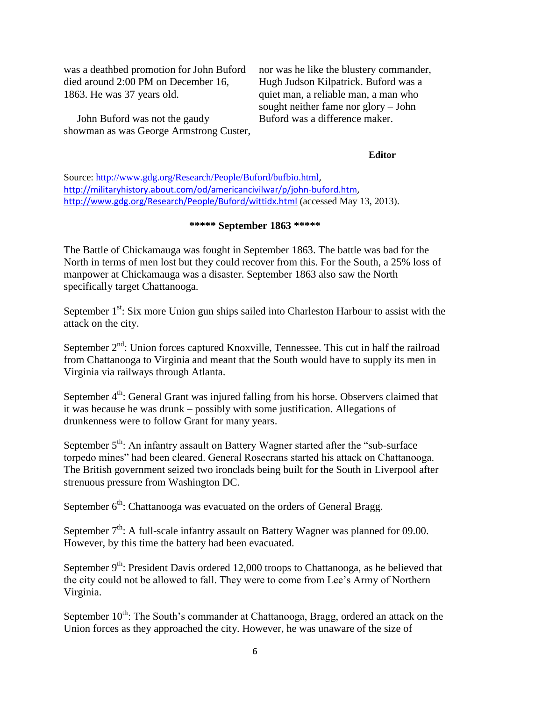was a deathbed promotion for John Buford died around 2:00 PM on December 16, 1863. He was 37 years old.

 John Buford was not the gaudy showman as was George Armstrong Custer, nor was he like the blustery commander, Hugh Judson Kilpatrick. Buford was a quiet man, a reliable man, a man who sought neither fame nor glory – John Buford was a difference maker.

#### **Editor**

Source:<http://www.gdg.org/Research/People/Buford/bufbio.html>, [http://militaryhistory.about.com/od/americancivilwar/p/john-buford.htm,](http://militaryhistory.about.com/od/americancivilwar/p/john-buford.htm) <http://www.gdg.org/Research/People/Buford/wittidx.html> (accessed May 13, 2013).

### **\*\*\*\*\* September 1863 \*\*\*\*\***

The Battle of Chickamauga was fought in September 1863. The battle was bad for the North in terms of men lost but they could recover from this. For the South, a 25% loss of manpower at Chickamauga was a disaster. September 1863 also saw the North specifically target Chattanooga.

September  $1<sup>st</sup>$ : Six more Union gun ships sailed into Charleston Harbour to assist with the attack on the city.

September  $2<sup>nd</sup>$ : Union forces captured Knoxville, Tennessee. This cut in half the railroad from Chattanooga to Virginia and meant that the South would have to supply its men in Virginia via railways through Atlanta.

September 4<sup>th</sup>: General Grant was injured falling from his horse. Observers claimed that it was because he was drunk – possibly with some justification. Allegations of drunkenness were to follow Grant for many years.

September  $5<sup>th</sup>$ : An infantry assault on Battery Wagner started after the "sub-surface" torpedo mines" had been cleared. General Rosecrans started his attack on Chattanooga. The British government seized two ironclads being built for the South in Liverpool after strenuous pressure from Washington DC.

September  $6<sup>th</sup>$ : Chattanooga was evacuated on the orders of General Bragg.

September  $7<sup>th</sup>$ : A full-scale infantry assault on Battery Wagner was planned for 09.00. However, by this time the battery had been evacuated.

September  $9<sup>th</sup>$ : President Davis ordered 12,000 troops to Chattanooga, as he believed that the city could not be allowed to fall. They were to come from Lee's Army of Northern Virginia.

September  $10^{th}$ : The South's commander at Chattanooga, Bragg, ordered an attack on the Union forces as they approached the city. However, he was unaware of the size of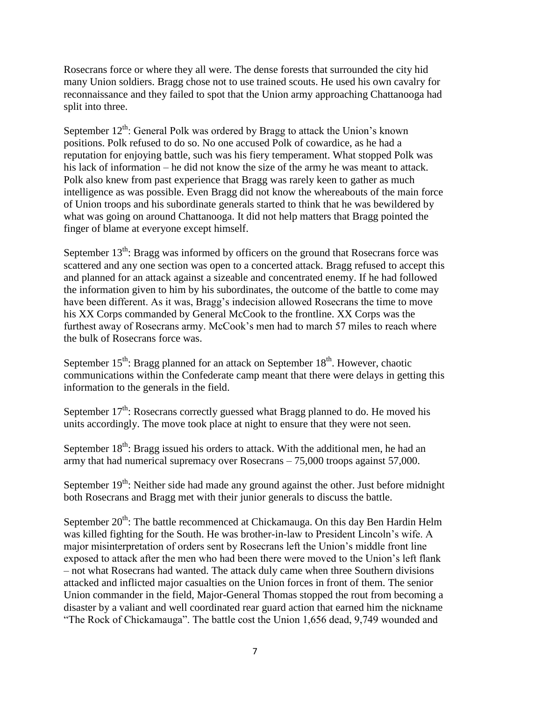Rosecrans force or where they all were. The dense forests that surrounded the city hid many Union soldiers. Bragg chose not to use trained scouts. He used his own cavalry for reconnaissance and they failed to spot that the Union army approaching Chattanooga had split into three.

September  $12^{th}$ : General Polk was ordered by Bragg to attack the Union's known positions. Polk refused to do so. No one accused Polk of cowardice, as he had a reputation for enjoying battle, such was his fiery temperament. What stopped Polk was his lack of information – he did not know the size of the army he was meant to attack. Polk also knew from past experience that Bragg was rarely keen to gather as much intelligence as was possible. Even Bragg did not know the whereabouts of the main force of Union troops and his subordinate generals started to think that he was bewildered by what was going on around Chattanooga. It did not help matters that Bragg pointed the finger of blame at everyone except himself.

September  $13<sup>th</sup>$ : Bragg was informed by officers on the ground that Rosecrans force was scattered and any one section was open to a concerted attack. Bragg refused to accept this and planned for an attack against a sizeable and concentrated enemy. If he had followed the information given to him by his subordinates, the outcome of the battle to come may have been different. As it was, Bragg's indecision allowed Rosecrans the time to move his XX Corps commanded by General McCook to the frontline. XX Corps was the furthest away of Rosecrans army. McCook's men had to march 57 miles to reach where the bulk of Rosecrans force was.

September  $15^{th}$ : Bragg planned for an attack on September  $18^{th}$ . However, chaotic communications within the Confederate camp meant that there were delays in getting this information to the generals in the field.

September  $17<sup>th</sup>$ : Rosecrans correctly guessed what Bragg planned to do. He moved his units accordingly. The move took place at night to ensure that they were not seen.

September  $18<sup>th</sup>$ : Bragg issued his orders to attack. With the additional men, he had an army that had numerical supremacy over Rosecrans – 75,000 troops against 57,000.

September  $19<sup>th</sup>$ : Neither side had made any ground against the other. Just before midnight both Rosecrans and Bragg met with their junior generals to discuss the battle.

September  $20^{th}$ : The battle recommenced at Chickamauga. On this day Ben Hardin Helm was killed fighting for the South. He was brother-in-law to President Lincoln's wife. A major misinterpretation of orders sent by Rosecrans left the Union's middle front line exposed to attack after the men who had been there were moved to the Union's left flank – not what Rosecrans had wanted. The attack duly came when three Southern divisions attacked and inflicted major casualties on the Union forces in front of them. The senior Union commander in the field, Major-General Thomas stopped the rout from becoming a disaster by a valiant and well coordinated rear guard action that earned him the nickname "The Rock of Chickamauga". The battle cost the Union 1,656 dead, 9,749 wounded and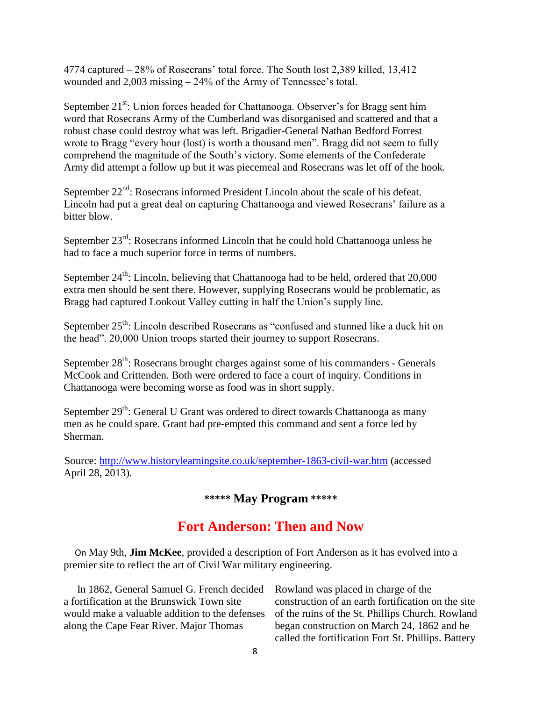4774 captured – 28% of Rosecrans' total force. The South lost 2,389 killed, 13,412 wounded and 2,003 missing – 24% of the Army of Tennessee's total.

September  $21^{st}$ : Union forces headed for Chattanooga. Observer's for Bragg sent him word that Rosecrans Army of the Cumberland was disorganised and scattered and that a robust chase could destroy what was left. Brigadier-General Nathan Bedford Forrest wrote to Bragg "every hour (lost) is worth a thousand men". Bragg did not seem to fully comprehend the magnitude of the South's victory. Some elements of the Confederate Army did attempt a follow up but it was piecemeal and Rosecrans was let off of the hook.

September  $22<sup>nd</sup>$ : Rosecrans informed President Lincoln about the scale of his defeat. Lincoln had put a great deal on capturing Chattanooga and viewed Rosecrans' failure as a bitter blow.

September  $23^{rd}$ : Rosecrans informed Lincoln that he could hold Chattanooga unless he had to face a much superior force in terms of numbers.

September  $24^{th}$ : Lincoln, believing that Chattanooga had to be held, ordered that  $20,000$ extra men should be sent there. However, supplying Rosecrans would be problematic, as Bragg had captured Lookout Valley cutting in half the Union's supply line.

September 25<sup>th</sup>: Lincoln described Rosecrans as "confused and stunned like a duck hit on the head". 20,000 Union troops started their journey to support Rosecrans.

September  $28<sup>th</sup>$ : Rosecrans brought charges against some of his commanders - Generals McCook and Crittenden. Both were ordered to face a court of inquiry. Conditions in Chattanooga were becoming worse as food was in short supply.

September  $29<sup>th</sup>$ : General U Grant was ordered to direct towards Chattanooga as many men as he could spare. Grant had pre-empted this command and sent a force led by Sherman.

Source:<http://www.historylearningsite.co.uk/september-1863-civil-war.htm> (accessed April 28, 2013).

## **\*\*\*\*\* May Program \*\*\*\*\***

# **Fort Anderson: Then and Now**

 On May 9th, **Jim McKee**, provided a description of Fort Anderson as it has evolved into a premier site to reflect the art of Civil War military engineering.

 In 1862, General Samuel G. French decided a fortification at the Brunswick Town site would make a valuable addition to the defenses along the Cape Fear River. Major Thomas

Rowland was placed in charge of the construction of an earth fortification on the site of the ruins of the St. Phillips Church. Rowland began construction on March 24, 1862 and he called the fortification Fort St. Phillips. Battery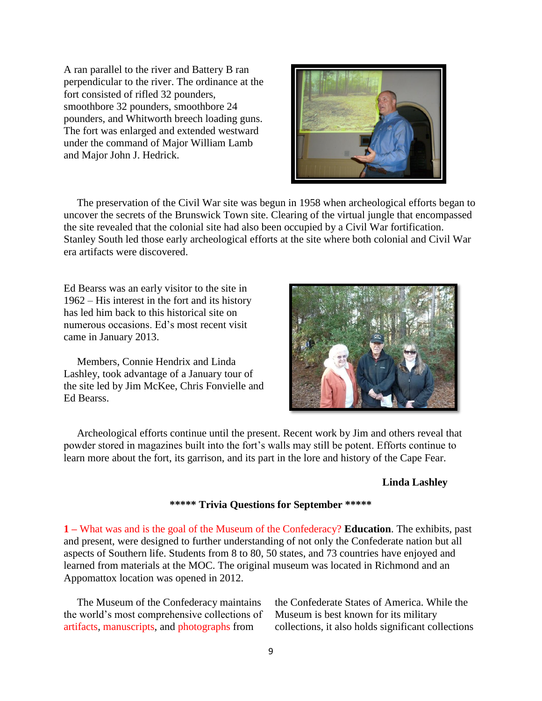A ran parallel to the river and Battery B ran perpendicular to the river. The ordinance at the fort consisted of rifled 32 pounders, smoothbore 32 pounders, smoothbore 24 pounders, and Whitworth breech loading guns. The fort was enlarged and extended westward under the command of Major William Lamb and Major John J. Hedrick.



 The preservation of the Civil War site was begun in 1958 when archeological efforts began to uncover the secrets of the Brunswick Town site. Clearing of the virtual jungle that encompassed the site revealed that the colonial site had also been occupied by a Civil War fortification. Stanley South led those early archeological efforts at the site where both colonial and Civil War era artifacts were discovered.

Ed Bearss was an early visitor to the site in 1962 – His interest in the fort and its history has led him back to this historical site on numerous occasions. Ed's most recent visit came in January 2013.

 Members, Connie Hendrix and Linda Lashley, took advantage of a January tour of the site led by Jim McKee, Chris Fonvielle and Ed Bearss.



 Archeological efforts continue until the present. Recent work by Jim and others reveal that powder stored in magazines built into the fort's walls may still be potent. Efforts continue to learn more about the fort, its garrison, and its part in the lore and history of the Cape Fear.

#### **Linda Lashley**

#### **\*\*\*\*\* Trivia Questions for September \*\*\*\*\***

**1 –** What was and is the goal of the Museum of the Confederacy? **Education**. The exhibits, past and present, were designed to further understanding of not only the Confederate nation but all aspects of Southern life. Students from 8 to 80, 50 states, and 73 countries have enjoyed and learned from materials at the MOC. The original museum was located in Richmond and an Appomattox location was opened in 2012.

 The Museum of the Confederacy maintains the world's most comprehensive collections of artifacts, manuscripts, and photographs from

the Confederate States of America. While the Museum is best known for its military collections, it also holds significant collections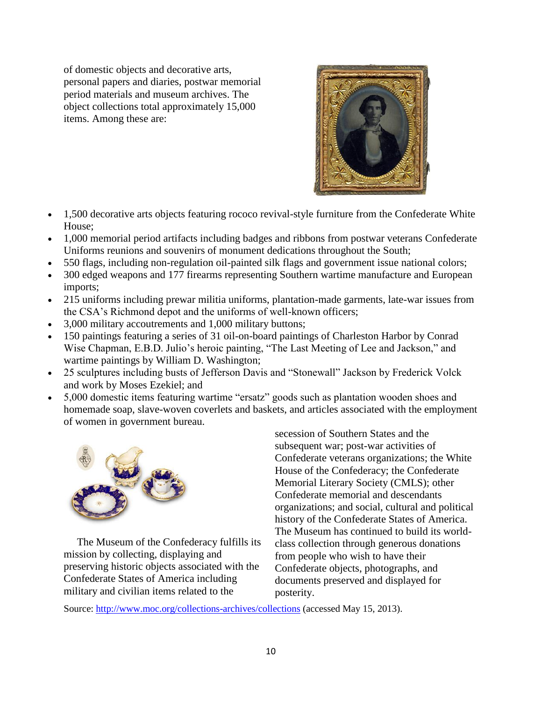of domestic objects and decorative arts, personal papers and diaries, postwar memorial period materials and museum archives. The object collections total approximately 15,000 items. Among these are:



- 1,500 decorative arts objects featuring rococo revival-style furniture from the Confederate White House;
- 1,000 memorial period artifacts including badges and ribbons from postwar veterans Confederate Uniforms reunions and souvenirs of monument dedications throughout the South;
- 550 flags, including non-regulation oil-painted silk flags and government issue national colors;
- 300 edged weapons and 177 firearms representing Southern wartime manufacture and European imports;
- 215 uniforms including prewar militia uniforms, plantation-made garments, late-war issues from the CSA's Richmond depot and the uniforms of well-known officers;
- 3,000 military accoutrements and 1,000 military buttons;
- 150 paintings featuring a series of 31 oil-on-board paintings of Charleston Harbor by Conrad Wise Chapman, E.B.D. Julio's heroic painting, "The Last Meeting of Lee and Jackson," and wartime paintings by William D. Washington;
- 25 sculptures including busts of Jefferson Davis and "Stonewall" Jackson by Frederick Volck and work by Moses Ezekiel; and
- 5,000 domestic items featuring wartime "ersatz" goods such as plantation wooden shoes and homemade soap, slave-woven coverlets and baskets, and articles associated with the employment of women in government bureau.



 The Museum of the Confederacy fulfills its mission by collecting, displaying and preserving historic objects associated with the Confederate States of America including military and civilian items related to the

secession of Southern States and the subsequent war; post-war activities of Confederate veterans organizations; the White House of the Confederacy; the Confederate Memorial Literary Society (CMLS); other Confederate memorial and descendants organizations; and social, cultural and political history of the Confederate States of America. The Museum has continued to build its worldclass collection through generous donations from people who wish to have their Confederate objects, photographs, and documents preserved and displayed for posterity.

Source:<http://www.moc.org/collections-archives/collections> (accessed May 15, 2013).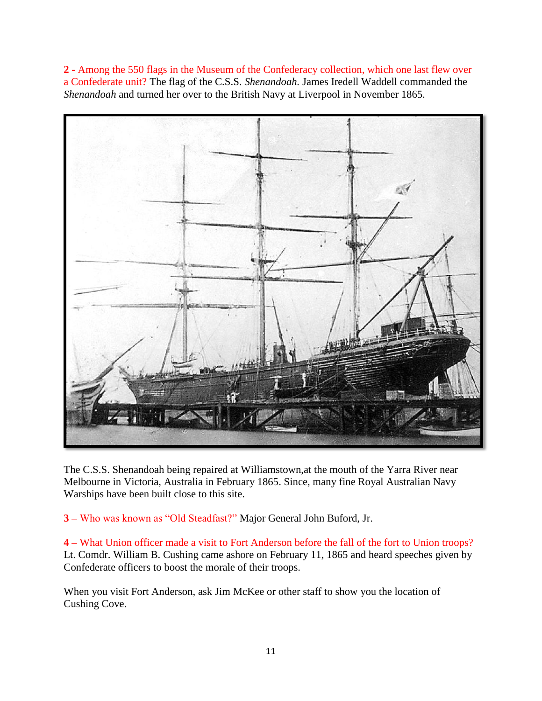**2 -** Among the 550 flags in the Museum of the Confederacy collection, which one last flew over a Confederate unit? The flag of the C.S.S. *Shenandoah.* James Iredell Waddell commanded the *Shenandoah* and turned her over to the British Navy at Liverpool in November 1865.



The C.S.S. Shenandoah being repaired at Williamstown,at the mouth of the Yarra River near Melbourne in Victoria, Australia in February 1865. Since, many fine Royal Australian Navy Warships have been built close to this site.

**3 –** Who was known as "Old Steadfast?" Major General John Buford, Jr.

**4 –** What Union officer made a visit to Fort Anderson before the fall of the fort to Union troops? Lt. Comdr. William B. Cushing came ashore on February 11, 1865 and heard speeches given by Confederate officers to boost the morale of their troops.

When you visit Fort Anderson, ask Jim McKee or other staff to show you the location of Cushing Cove.